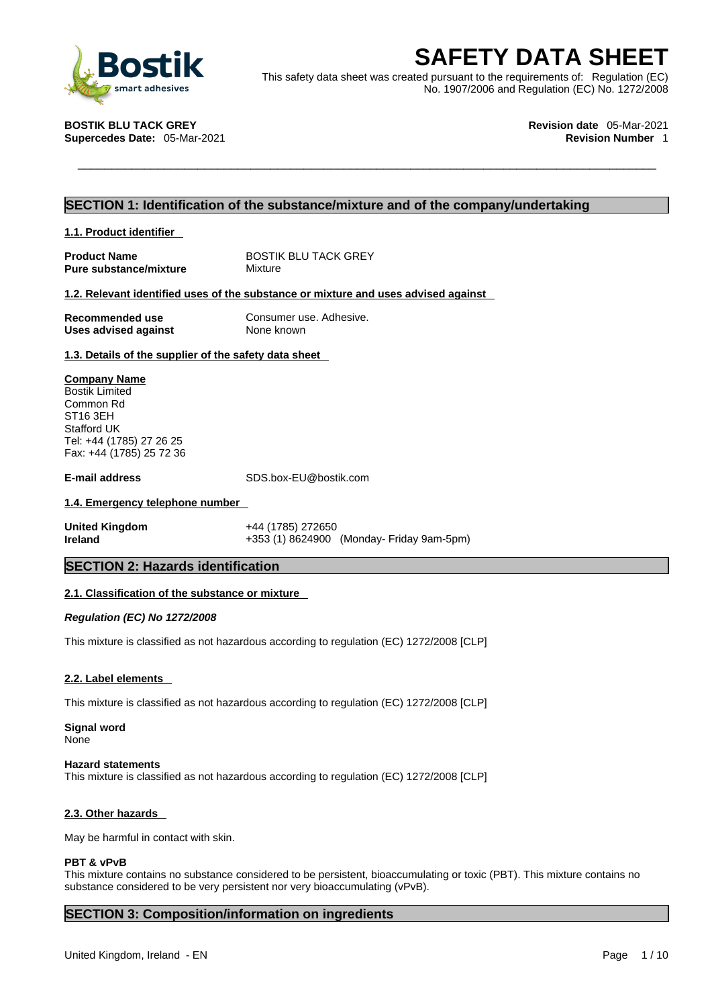

**SAFETY DATA SHEET**<br>
This safety data sheet was created pursuant to the requirements of: Regulation (EC)<br>
No. 1907/2006 and Regulation (EC) No. 1272/2008<br> **STIK BLU TACK GREY**<br> **PARTA SHEET**<br>
Revision date 05-Mar-2021<br>
Rev This safety data sheet was created pursuant to the requirements of: Regulation (EC) No. 1907/2006 and Regulation (EC) No. 1272/2008

**Supercedes Date: 05-Mar-2021** 

**BOSTIK BLU TACK GREY Revision date** 05-Mar-2021

### **SECTION 1: Identification of the substance/mixture and of the company/undertaking**

### **1.1. Product identifier**

**Pure substance/mixture** Mixture

**Product Name** BOSTIK BLU TACK GREY

### **1.2. Relevant identified uses of the substance or mixture and uses advised against**

**Uses** advised against

**Recommended use** Consumer use. Adhesive.<br>
Uses advised against<br>
None known

### **1.3. Details of the supplier of the safety data sheet**

### **Company Name**

Bostik Limited Common Rd ST16 3EH Stafford UK Tel: +44 (1785) 27 26 25 Fax: +44 (1785) 25 72 36

**E-mail address** SDS.box-EU@bostik.com

### **1.4. Emergency telephone number**

**United Kingdom** +44 (1785) 272650 **Ireland +353 (1) 8624900 (Monday- Friday 9am-5pm)** 

### **SECTION 2: Hazards identification**

### **2.1. Classification of the substance or mixture**

*Regulation (EC) No 1272/2008* 

This mixture is classified as not hazardous according to regulation (EC) 1272/2008 [CLP]

### **2.2. Label elements**

This mixture is classified as not hazardous according to regulation (EC) 1272/2008 [CLP]

### **Signal word** None

### **Hazard statements**

This mixture is classified as not hazardous according to regulation (EC) 1272/2008 [CLP]

### **2.3. Other hazards**

May be harmful in contact with skin.

### **PBT & vPvB**

This mixture contains no substance considered to be persistent, bioaccumulating or toxic (PBT). This mixture contains no substance considered to be very persistent nor very bioaccumulating (vPvB).

### **SECTION 3: Composition/information on ingredients**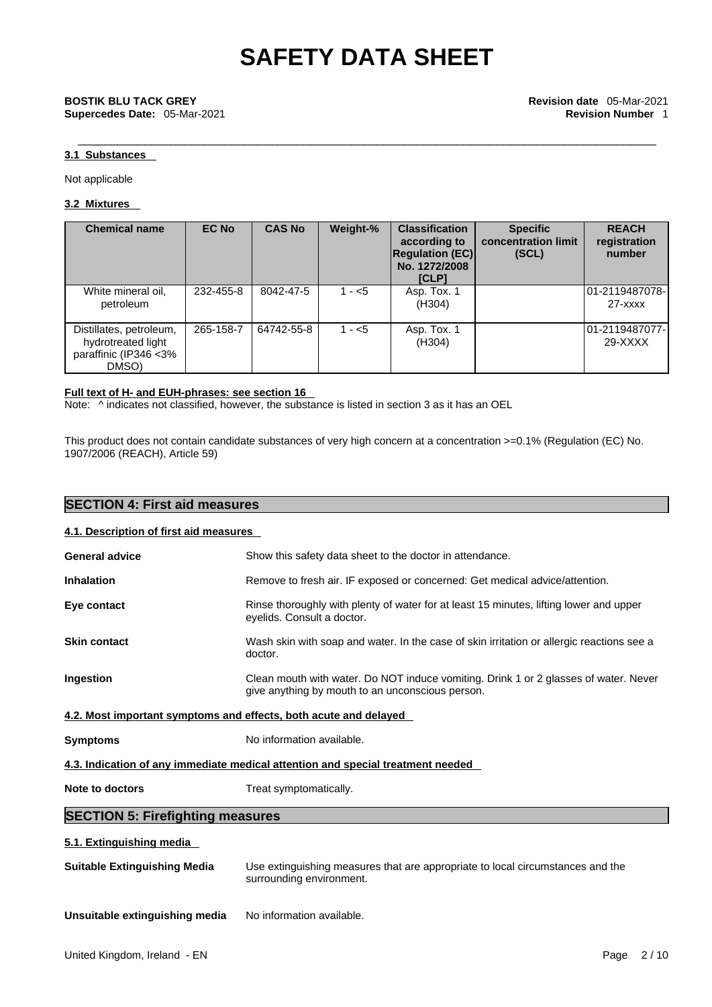### **3.1 Substances**

Not applicable

### **3.2 Mixtures**

| <b>Chemical name</b>                                                             | <b>EC No</b> | <b>CAS No</b> | Weight-% | <b>Classification</b><br>according to<br><b>Regulation (EC)</b><br>No. 1272/2008<br>[CLP] | <b>Specific</b><br>concentration limit<br>(SCL) | <b>REACH</b><br>registration<br>number |
|----------------------------------------------------------------------------------|--------------|---------------|----------|-------------------------------------------------------------------------------------------|-------------------------------------------------|----------------------------------------|
| White mineral oil,<br>petroleum                                                  | 232-455-8    | 8042-47-5     | $1 - 5$  | Asp. Tox. 1<br>(H304)                                                                     |                                                 | 01-2119487078-<br>$27 - x$ $xx$        |
| Distillates, petroleum,<br>hydrotreated light<br>paraffinic (IP346 < 3%<br>DMSO) | 265-158-7    | 64742-55-8    | $1 - 5$  | Asp. Tox. 1<br>(H304)                                                                     |                                                 | 01-2119487077-<br>$29-XXXX$            |

### **Full text of H- and EUH-phrases: see section 16**

Note:  $\wedge$  indicates not classified, however, the substance is listed in section 3 as it has an OEL

This product does not contain candidate substances of very high concern at a concentration >=0.1% (Regulation (EC) No. 1907/2006 (REACH), Article 59)

| <b>SECTION 4: First aid measures</b>                                              |                                                                                                                                          |  |  |  |  |  |
|-----------------------------------------------------------------------------------|------------------------------------------------------------------------------------------------------------------------------------------|--|--|--|--|--|
| 4.1. Description of first aid measures                                            |                                                                                                                                          |  |  |  |  |  |
| <b>General advice</b><br>Show this safety data sheet to the doctor in attendance. |                                                                                                                                          |  |  |  |  |  |
| <b>Inhalation</b>                                                                 | Remove to fresh air. IF exposed or concerned: Get medical advice/attention.                                                              |  |  |  |  |  |
| Eye contact                                                                       | Rinse thoroughly with plenty of water for at least 15 minutes, lifting lower and upper<br>eyelids. Consult a doctor.                     |  |  |  |  |  |
| <b>Skin contact</b>                                                               | Wash skin with soap and water. In the case of skin irritation or allergic reactions see a<br>doctor.                                     |  |  |  |  |  |
| Ingestion                                                                         | Clean mouth with water. Do NOT induce vomiting. Drink 1 or 2 glasses of water. Never<br>give anything by mouth to an unconscious person. |  |  |  |  |  |
|                                                                                   | 4.2. Most important symptoms and effects, both acute and delayed                                                                         |  |  |  |  |  |
| <b>Symptoms</b>                                                                   | No information available.                                                                                                                |  |  |  |  |  |
|                                                                                   | 4.3. Indication of any immediate medical attention and special treatment needed                                                          |  |  |  |  |  |
| Note to doctors<br>Treat symptomatically.                                         |                                                                                                                                          |  |  |  |  |  |
| <b>SECTION 5: Firefighting measures</b>                                           |                                                                                                                                          |  |  |  |  |  |
| 5.1. Extinguishing media                                                          |                                                                                                                                          |  |  |  |  |  |
| <b>Suitable Extinguishing Media</b>                                               | Use extinguishing measures that are appropriate to local circumstances and the<br>surrounding environment.                               |  |  |  |  |  |
| Unsuitable extinguishing media                                                    | No information available.                                                                                                                |  |  |  |  |  |
| United Kingdom, Ireland - EN                                                      | 2/10<br>Page                                                                                                                             |  |  |  |  |  |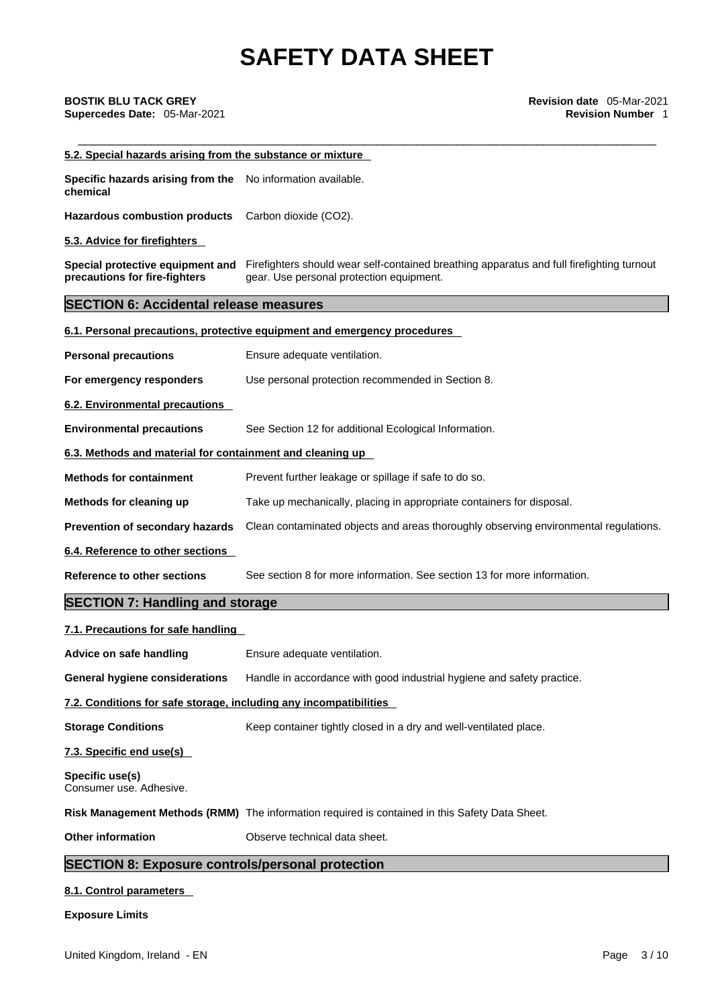| 5.2. Special hazards arising from the substance or mixture                                       |                                                                                                                                                                        |  |  |
|--------------------------------------------------------------------------------------------------|------------------------------------------------------------------------------------------------------------------------------------------------------------------------|--|--|
| Specific hazards arising from the No information available.<br>chemical                          |                                                                                                                                                                        |  |  |
| <b>Hazardous combustion products</b>                                                             | Carbon dioxide (CO2).                                                                                                                                                  |  |  |
| 5.3. Advice for firefighters                                                                     |                                                                                                                                                                        |  |  |
| precautions for fire-fighters                                                                    | Special protective equipment and Firefighters should wear self-contained breathing apparatus and full firefighting turnout<br>gear. Use personal protection equipment. |  |  |
| <b>SECTION 6: Accidental release measures</b>                                                    |                                                                                                                                                                        |  |  |
|                                                                                                  | 6.1. Personal precautions, protective equipment and emergency procedures                                                                                               |  |  |
| <b>Personal precautions</b>                                                                      | Ensure adequate ventilation.                                                                                                                                           |  |  |
| For emergency responders                                                                         | Use personal protection recommended in Section 8.                                                                                                                      |  |  |
| 6.2. Environmental precautions                                                                   |                                                                                                                                                                        |  |  |
| <b>Environmental precautions</b>                                                                 | See Section 12 for additional Ecological Information.                                                                                                                  |  |  |
| 6.3. Methods and material for containment and cleaning up                                        |                                                                                                                                                                        |  |  |
| <b>Methods for containment</b>                                                                   | Prevent further leakage or spillage if safe to do so.                                                                                                                  |  |  |
| Methods for cleaning up<br>Take up mechanically, placing in appropriate containers for disposal. |                                                                                                                                                                        |  |  |
| Prevention of secondary hazards                                                                  | Clean contaminated objects and areas thoroughly observing environmental regulations.                                                                                   |  |  |
| 6.4. Reference to other sections                                                                 |                                                                                                                                                                        |  |  |
|                                                                                                  | See section 8 for more information. See section 13 for more information.                                                                                               |  |  |
| <b>Reference to other sections</b>                                                               |                                                                                                                                                                        |  |  |
| <b>SECTION 7: Handling and storage</b>                                                           |                                                                                                                                                                        |  |  |
| 7.1. Precautions for safe handling                                                               |                                                                                                                                                                        |  |  |
| Advice on safe handling                                                                          | Ensure adequate ventilation.                                                                                                                                           |  |  |
|                                                                                                  | General hygiene considerations Handle in accordance with good industrial hygiene and safety practice.                                                                  |  |  |
| 7.2. Conditions for safe storage, including any incompatibilities                                |                                                                                                                                                                        |  |  |
| <b>Storage Conditions</b>                                                                        | Keep container tightly closed in a dry and well-ventilated place.                                                                                                      |  |  |
| 7.3. Specific end use(s)                                                                         |                                                                                                                                                                        |  |  |
| Specific use(s)<br>Consumer use. Adhesive.                                                       |                                                                                                                                                                        |  |  |
|                                                                                                  | Risk Management Methods (RMM) The information required is contained in this Safety Data Sheet.                                                                         |  |  |

### **SECTION 8: Exposure controls/personal protection**

### **8.1. Control parameters**

### **Exposure Limits**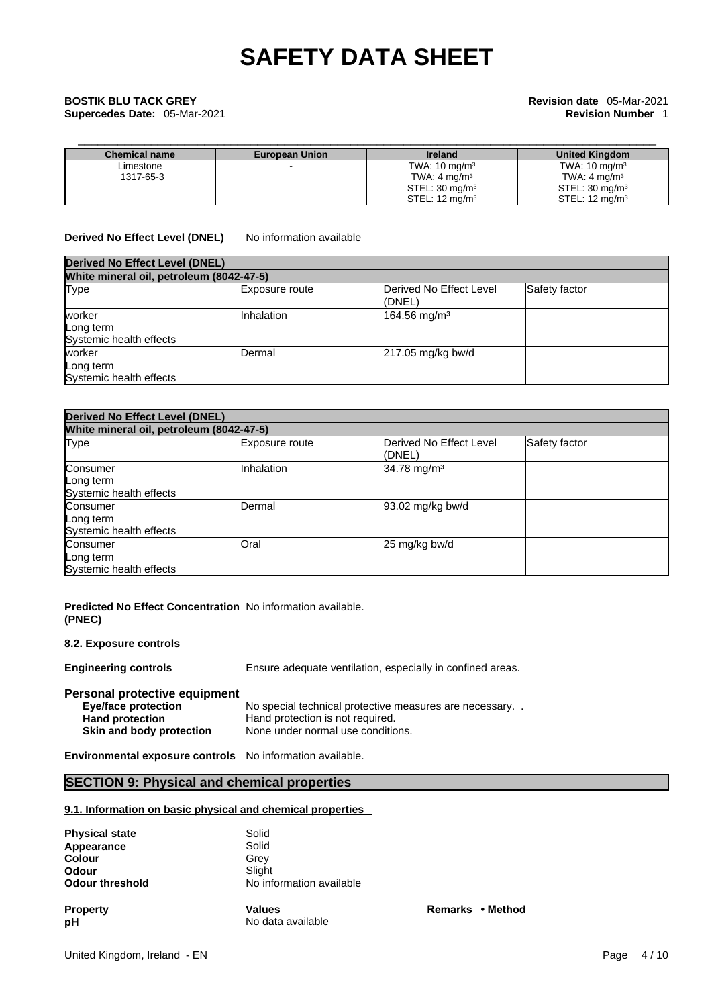**Supercedes Date:** 05-Mar-2021 **Revision Number** 1

# \_\_\_\_\_\_\_\_\_\_\_\_\_\_\_\_\_\_\_\_\_\_\_\_\_\_\_\_\_\_\_\_\_\_\_\_\_\_\_\_\_\_\_\_\_\_\_\_\_\_\_\_\_\_\_\_\_\_\_\_\_\_\_\_\_\_\_\_\_\_\_\_\_\_\_\_\_\_\_\_\_\_\_\_\_\_\_ **BOSTIK BLU TACK GREY Revision date** 05-Mar-2021

| <b>Chemical name</b> | <b>European Union</b> | <b>Ireland</b>            | <b>United Kingdom</b>     |
|----------------------|-----------------------|---------------------------|---------------------------|
| Limestone            |                       | TWA: $10 \text{ mg/m}^3$  | TWA: $10 \text{ mg/m}^3$  |
| 1317-65-3            |                       | TWA: $4 \text{ mg/m}^3$   | TWA: $4 \text{ mg/m}^3$   |
|                      |                       | STEL: $30 \text{ mg/m}^3$ | STEL: $30 \text{ mg/m}^3$ |
|                      |                       | STEL: $12 \text{ mg/m}^3$ | STEL: $12 \text{ mg/m}^3$ |

**Derived No Effect Level (DNEL)** No information available

| <b>Derived No Effect Level (DNEL)</b>          |                   |                                   |               |  |
|------------------------------------------------|-------------------|-----------------------------------|---------------|--|
| White mineral oil, petroleum (8042-47-5)       |                   |                                   |               |  |
| <b>Type</b>                                    | Exposure route    | Derived No Effect Level<br>(DNEL) | Safety factor |  |
| worker<br>Long term<br>Systemic health effects | <b>Inhalation</b> | $164.56$ mg/m <sup>3</sup>        |               |  |
| worker<br>Long term<br>Systemic health effects | Dermal            | 217.05 mg/kg bw/d                 |               |  |

| <b>Derived No Effect Level (DNEL)</b>            |                |                                   |               |
|--------------------------------------------------|----------------|-----------------------------------|---------------|
| White mineral oil, petroleum (8042-47-5)         |                |                                   |               |
| Type                                             | Exposure route | Derived No Effect Level<br>(DNEL) | Safety factor |
| Consumer<br>Long term<br>Systemic health effects | Inhalation     | 34.78 mg/m <sup>3</sup>           |               |
| Consumer<br>Long term<br>Systemic health effects | Dermal         | 93.02 mg/kg bw/d                  |               |
| Consumer<br>Long term<br>Systemic health effects | Oral           | 25 mg/kg bw/d                     |               |

**Predicted No Effect Concentration** No information available. **(PNEC)** 

### **8.2. Exposure controls**

**Engineering controls** Ensure adequate ventilation, especially in confined areas.

**Remarks** • **Method** 

### **Personal protective equipment**

| <b>Eye/face protection</b> | No special technical protective measures are necessary |
|----------------------------|--------------------------------------------------------|
| <b>Hand protection</b>     | Hand protection is not required.                       |
| Skin and body protection   | None under normal use conditions.                      |

**Environmental exposure controls** No information available.

### **SECTION 9: Physical and chemical properties**

### **9.1. Information on basic physical and chemical properties**

| <b>Physical state</b>  | Solid                    |
|------------------------|--------------------------|
| Appearance             | Solid                    |
| <b>Colour</b>          | Grey                     |
| <b>Odour</b>           | Slight                   |
| <b>Odour threshold</b> | No information available |
| <b>Property</b>        | <b>Values</b>            |
| рH                     | No data available        |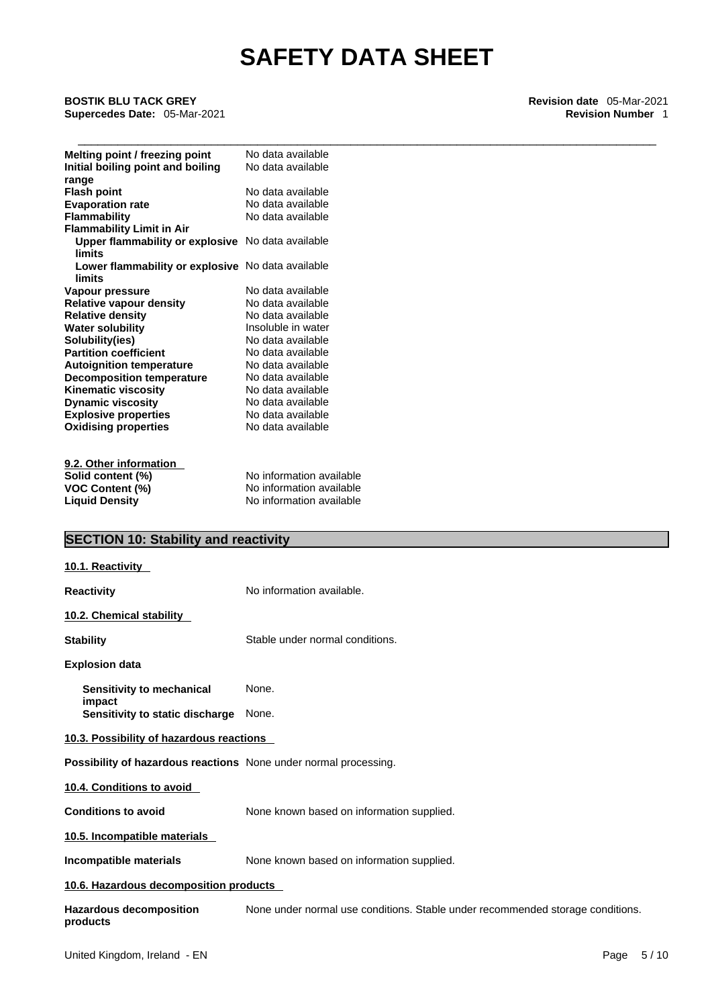\_\_\_\_\_\_\_\_\_\_\_\_\_\_\_\_\_\_\_\_\_\_\_\_\_\_\_\_\_\_\_\_\_\_\_\_\_\_\_\_\_\_\_\_\_\_\_\_\_\_\_\_\_\_\_\_\_\_\_\_\_\_\_\_\_\_\_\_\_\_\_\_\_\_\_\_\_\_\_\_\_\_\_\_\_\_\_ **BOSTIK BLU TACK GREY Revision date** 05-Mar-2021 **Supercedes Date:** 05-Mar-2021 **Revision Number** 1

| Melting point / freezing point                    | No data available        |
|---------------------------------------------------|--------------------------|
| Initial boiling point and boiling                 | No data available        |
| range                                             |                          |
| <b>Flash point</b>                                | No data available        |
| <b>Evaporation rate</b>                           | No data available        |
| <b>Flammability</b>                               | No data available        |
| <b>Flammability Limit in Air</b>                  |                          |
| Upper flammability or explosive No data available |                          |
| limits                                            |                          |
| Lower flammability or explosive No data available |                          |
| limits                                            |                          |
| Vapour pressure                                   | No data available        |
| <b>Relative vapour density</b>                    | No data available        |
| <b>Relative density</b>                           | No data available        |
| <b>Water solubility</b>                           | Insoluble in water       |
| Solubility(ies)                                   | No data available        |
| <b>Partition coefficient</b>                      | No data available        |
| <b>Autoignition temperature</b>                   | No data available        |
| <b>Decomposition temperature</b>                  | No data available        |
| <b>Kinematic viscosity</b>                        | No data available        |
| <b>Dynamic viscosity</b>                          | No data available        |
| <b>Explosive properties</b>                       | No data available        |
| <b>Oxidising properties</b>                       | No data available        |
|                                                   |                          |
|                                                   |                          |
| 9.2. Other information                            |                          |
| Solid content (%)                                 | No information available |
| <b>VOC Content (%)</b>                            | No information available |
| <b>Liquid Density</b>                             | No information available |

### **SECTION 10: Stability and reactivity**

| 10.1. Reactivity                                                 |                                                                                |
|------------------------------------------------------------------|--------------------------------------------------------------------------------|
| <b>Reactivity</b>                                                | No information available.                                                      |
| 10.2. Chemical stability                                         |                                                                                |
| <b>Stability</b>                                                 | Stable under normal conditions.                                                |
| <b>Explosion data</b>                                            |                                                                                |
| Sensitivity to mechanical<br>impact                              | None.                                                                          |
| Sensitivity to static discharge                                  | None.                                                                          |
| 10.3. Possibility of hazardous reactions                         |                                                                                |
| Possibility of hazardous reactions None under normal processing. |                                                                                |
| 10.4. Conditions to avoid                                        |                                                                                |
| <b>Conditions to avoid</b>                                       | None known based on information supplied.                                      |
| 10.5. Incompatible materials                                     |                                                                                |
| <b>Incompatible materials</b>                                    | None known based on information supplied.                                      |
| 10.6. Hazardous decomposition products                           |                                                                                |
| <b>Hazardous decomposition</b><br>products                       | None under normal use conditions. Stable under recommended storage conditions. |
|                                                                  |                                                                                |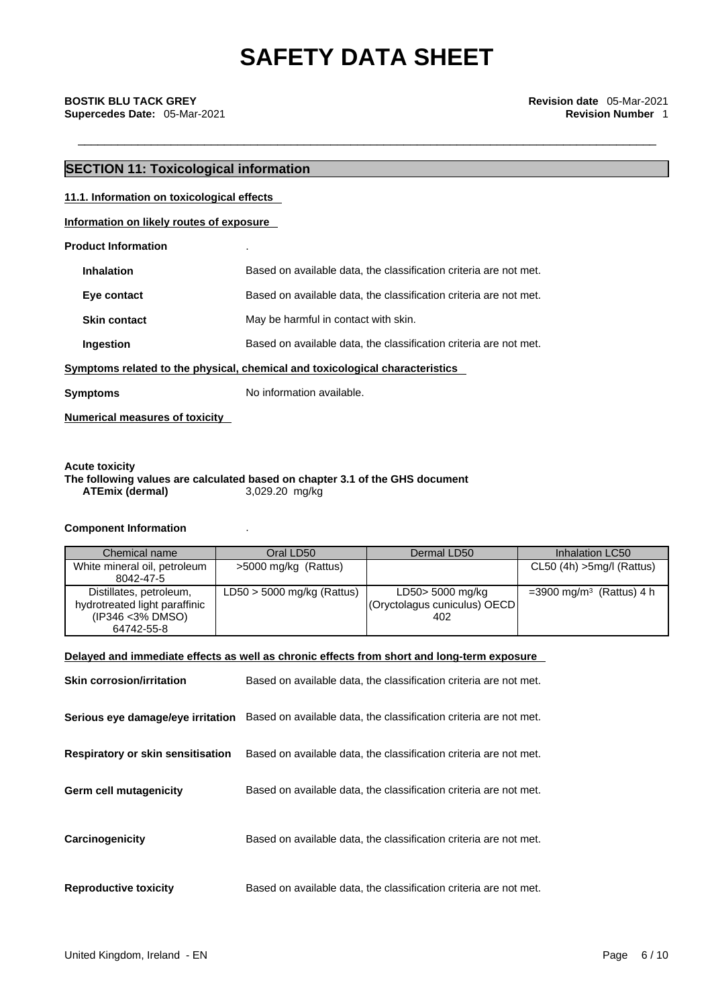## **SECTION 11: Toxicological information 11.1. Information on toxicological effects Information on likely routes of exposure Product Information** .

| <b>Inhalation</b>   | Based on available data, the classification criteria are not met.            |
|---------------------|------------------------------------------------------------------------------|
| Eye contact         | Based on available data, the classification criteria are not met.            |
| <b>Skin contact</b> | May be harmful in contact with skin.                                         |
| Ingestion           | Based on available data, the classification criteria are not met.            |
|                     | Symptoms related to the physical, chemical and toxicological characteristics |

**Symptoms** No information available.

**Numerical measures of toxicity**

### **Acute toxicity The following values are calculated based on chapter 3.1 of the GHS document ATEmix** (dermal)

### **Component Information** .

| Chemical name                                                                               | Oral LD50                    | Dermal LD50                                             | Inhalation LC50                         |
|---------------------------------------------------------------------------------------------|------------------------------|---------------------------------------------------------|-----------------------------------------|
| White mineral oil, petroleum<br>8042-47-5                                                   | >5000 mg/kg (Rattus)         |                                                         | $CL50$ (4h) $>5$ mg/l (Rattus)          |
| Distillates, petroleum,<br>hydrotreated light paraffinic<br>(IP346 < 3% DMSO)<br>64742-55-8 | $LD50 > 5000$ mg/kg (Rattus) | LD50> 5000 mg/kg<br>(Oryctolagus cuniculus) OECD<br>402 | $=$ 3900 mg/m <sup>3</sup> (Rattus) 4 h |

### **Delayed and immediate effects as well as chronic effects from short and long-term exposure**

| <b>Skin corrosion/irritation</b>         | Based on available data, the classification criteria are not met.                                   |
|------------------------------------------|-----------------------------------------------------------------------------------------------------|
|                                          | Serious eye damage/eye irritation Based on available data, the classification criteria are not met. |
| <b>Respiratory or skin sensitisation</b> | Based on available data, the classification criteria are not met.                                   |
| <b>Germ cell mutagenicity</b>            | Based on available data, the classification criteria are not met.                                   |
| Carcinogenicity                          | Based on available data, the classification criteria are not met.                                   |
| <b>Reproductive toxicity</b>             | Based on available data, the classification criteria are not met.                                   |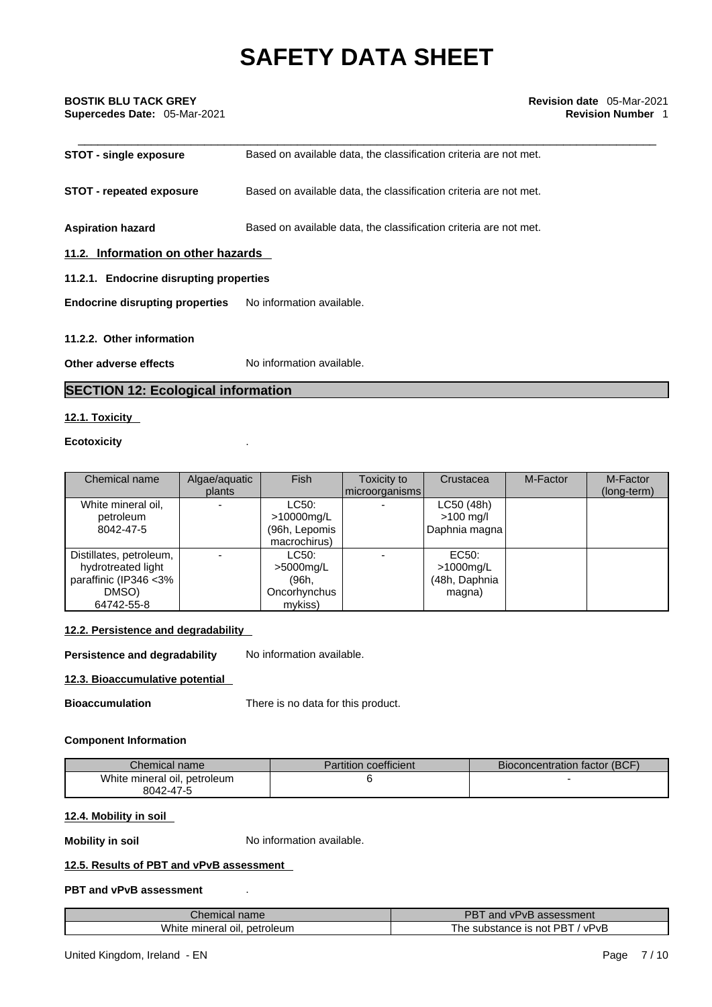## \_\_\_\_\_\_\_\_\_\_\_\_\_\_\_\_\_\_\_\_\_\_\_\_\_\_\_\_\_\_\_\_\_\_\_\_\_\_\_\_\_\_\_\_\_\_\_\_\_\_\_\_\_\_\_\_\_\_\_\_\_\_\_\_\_\_\_\_\_\_\_\_\_\_\_\_\_\_\_\_\_\_\_\_\_\_\_ **BOSTIK BLU TACK GREY Revision date** 05-Mar-2021 **Supercedes Date:** 05-Mar-2021 **Revision Number** 1

| <b>STOT - single exposure</b>           | Based on available data, the classification criteria are not met. |  |  |
|-----------------------------------------|-------------------------------------------------------------------|--|--|
| <b>STOT - repeated exposure</b>         | Based on available data, the classification criteria are not met. |  |  |
| <b>Aspiration hazard</b>                | Based on available data, the classification criteria are not met. |  |  |
| 11.2. Information on other hazards      |                                                                   |  |  |
| 11.2.1. Endocrine disrupting properties |                                                                   |  |  |
| <b>Endocrine disrupting properties</b>  | No information available.                                         |  |  |
| 11.2.2. Other information               |                                                                   |  |  |
| Other adverse effects                   | No information available.                                         |  |  |

### **SECTION 12: Ecological information**

### **12.1. Toxicity**

### **Ecotoxicity** .

| Chemical name           | Algae/aguatic | <b>Fish</b>   | Toxicity to    | Crustacea     | M-Factor | M-Factor    |
|-------------------------|---------------|---------------|----------------|---------------|----------|-------------|
|                         | plants        |               | microorganisms |               |          | (long-term) |
| White mineral oil,      |               | LC50:         |                | LC50 (48h)    |          |             |
| petroleum               |               | >10000mg/L    |                | $>100$ mg/l   |          |             |
| 8042-47-5               |               | (96h, Lepomis |                | Daphnia magna |          |             |
|                         |               | macrochirus)  |                |               |          |             |
| Distillates, petroleum, |               | LC50:         |                | EC50:         |          |             |
| hydrotreated light      |               | $>5000$ mg/L  |                | >1000mg/L     |          |             |
| paraffinic (IP346 < 3%  |               | (96h.         |                | (48h, Daphnia |          |             |
| DMSO)                   |               | Oncorhynchus  |                | magna)        |          |             |
| 64742-55-8              |               | mykiss)       |                |               |          |             |

### **12.2. Persistence and degradability**

**Persistence and degradability** No information available.

### **12.3. Bioaccumulative potential**

**Bioaccumulation** There is no data for this product.

### **Component Information**

| Chemical name                | Partition coefficient | Bioconcentration factor (BCF) |
|------------------------------|-----------------------|-------------------------------|
| White mineral oil, petroleum |                       |                               |
| 8042-47-5                    |                       |                               |

### **12.4. Mobility in soil**

**Mobility in soil** No information available.

### **12.5. Results of PBT and vPvB assessment**

### **PBT and vPvB assessment** .

| hemical name<br>--                               | PB.<br>and<br>assessment<br>" VPVL            |
|--------------------------------------------------|-----------------------------------------------|
| <b>Vhite</b><br>petroleum<br>≅minerai .<br>±oil. | . PBT<br>∵vPvB<br>substance is<br>' he<br>not |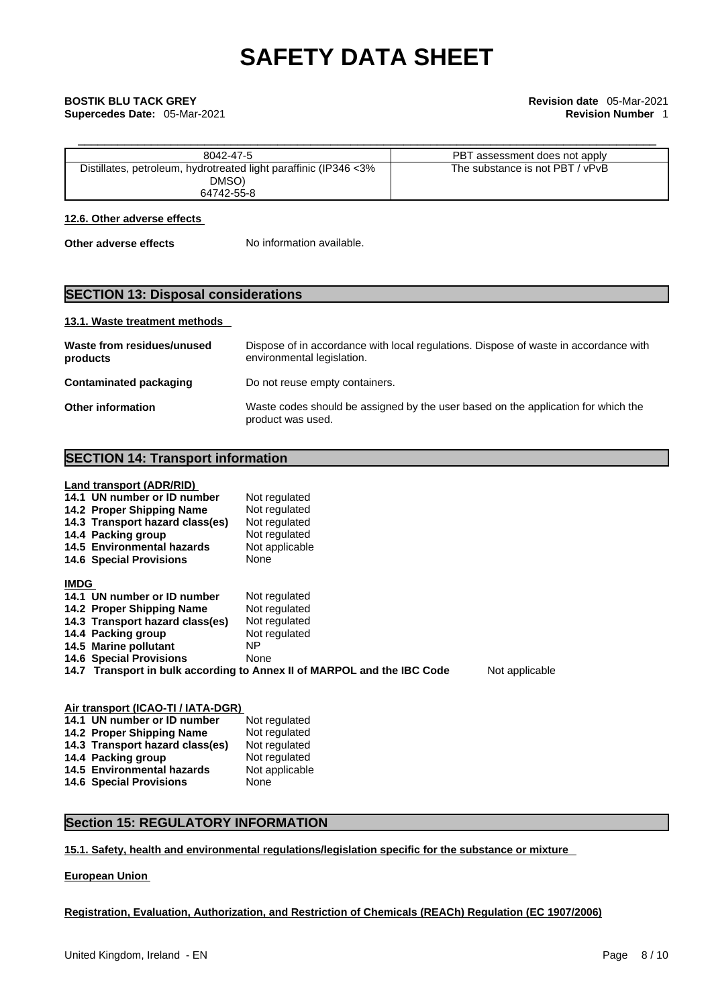## \_\_\_\_\_\_\_\_\_\_\_\_\_\_\_\_\_\_\_\_\_\_\_\_\_\_\_\_\_\_\_\_\_\_\_\_\_\_\_\_\_\_\_\_\_\_\_\_\_\_\_\_\_\_\_\_\_\_\_\_\_\_\_\_\_\_\_\_\_\_\_\_\_\_\_\_\_\_\_\_\_\_\_\_\_\_\_ **BOSTIK BLU TACK GREY Revision date** 05-Mar-2021 **Supercedes Date:** 05-Mar-2021 **Revision Number** 1

| 8042-47-5                                                                               | PBT assessment does not apply   |
|-----------------------------------------------------------------------------------------|---------------------------------|
| Distillates, petroleum, hydrotreated light paraffinic (IP346 <3%<br>DMSO)<br>64742-55-8 | The substance is not PBT / vPvB |

### **12.6. Other adverse effects**

**Other adverse effects** No information available.

### **SECTION 13: Disposal considerations**

### **13.1. Waste treatment methods**

| Waste from residues/unused<br>products | Dispose of in accordance with local regulations. Dispose of waste in accordance with<br>environmental legislation. |
|----------------------------------------|--------------------------------------------------------------------------------------------------------------------|
| Contaminated packaging                 | Do not reuse empty containers.                                                                                     |
| <b>Other information</b>               | Waste codes should be assigned by the user based on the application for which the<br>product was used.             |

### **SECTION 14: Transport information**

### **Land transport (ADR/RID)**

|             | 14.1 UN number or ID number     | Not regulated                                                           |                |
|-------------|---------------------------------|-------------------------------------------------------------------------|----------------|
|             | 14.2 Proper Shipping Name       | Not regulated                                                           |                |
|             | 14.3 Transport hazard class(es) | Not regulated                                                           |                |
|             | 14.4 Packing group              | Not regulated                                                           |                |
|             | 14.5 Environmental hazards      | Not applicable                                                          |                |
|             | <b>14.6 Special Provisions</b>  | None                                                                    |                |
| <b>IMDG</b> |                                 |                                                                         |                |
|             | 14.1 UN number or ID number     | Not regulated                                                           |                |
|             | 14.2 Proper Shipping Name       | Not regulated                                                           |                |
|             | 14.3 Transport hazard class(es) | Not regulated                                                           |                |
|             | 14.4 Packing group              | Not regulated                                                           |                |
|             | 14.5 Marine pollutant           | NP.                                                                     |                |
|             | <b>14.6 Special Provisions</b>  | None                                                                    |                |
|             |                                 | 14.7 Transport in bulk according to Annex II of MARPOL and the IBC Code | Not applicable |

| Air transport (ICAO-TI / IATA-DGR) |                |  |  |  |
|------------------------------------|----------------|--|--|--|
| 14.1 UN number or ID number        | Not regulated  |  |  |  |
| 14.2 Proper Shipping Name          | Not regulated  |  |  |  |
| 14.3 Transport hazard class(es)    | Not regulated  |  |  |  |
| 14.4 Packing group                 | Not regulated  |  |  |  |
| 14.5 Environmental hazards         | Not applicable |  |  |  |
| <b>14.6 Special Provisions</b>     | None           |  |  |  |
|                                    |                |  |  |  |

### **Section 15: REGULATORY INFORMATION**

### **15.1. Safety, health and environmental regulations/legislation specific for the substance or mixture**

### **European Union**

### **Registration, Evaluation, Authorization, and Restriction of Chemicals (REACh) Regulation (EC 1907/2006)**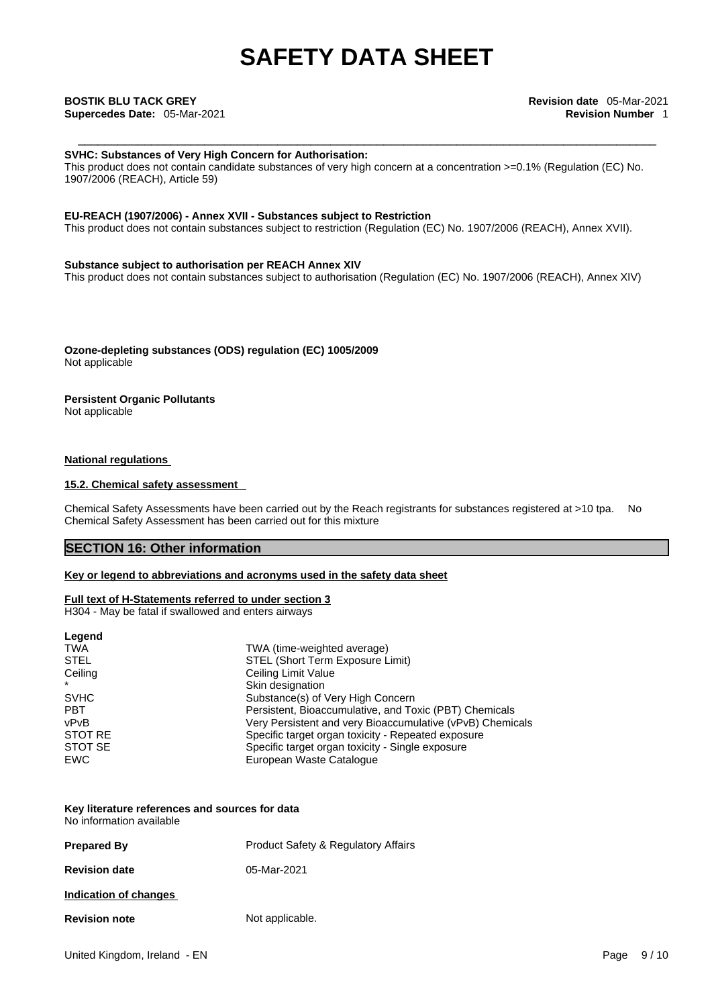### **SVHC: Substances of Very High Concern for Authorisation:**

This product does not contain candidate substances of very high concern at a concentration >=0.1% (Regulation (EC) No. 1907/2006 (REACH), Article 59)

### **EU-REACH (1907/2006) - Annex XVII - Substances subject to Restriction**

This product does not contain substances subject to restriction (Regulation (EC) No. 1907/2006 (REACH), Annex XVII).

### **Substance subject to authorisation per REACH Annex XIV**

This product does not contain substances subject to authorisation (Regulation (EC) No. 1907/2006 (REACH), Annex XIV)

**Ozone-depleting substances (ODS) regulation (EC) 1005/2009** Not applicable

### **Persistent Organic Pollutants**

Not applicable

### **National regulations**

### **15.2. Chemical safety assessment**

Chemical Safety Assessments have been carried out by the Reach registrants for substances registered at >10 tpa. No Chemical Safety Assessment has been carried out for this mixture

### **SECTION 16: Other information**

### **Key or legend to abbreviations and acronyms used in the safety data sheet**

### **Full text of H-Statements referred to under section 3**

H304 - May be fatal if swallowed and enters airways

| Legend      |                                                           |
|-------------|-----------------------------------------------------------|
| <b>TWA</b>  | TWA (time-weighted average)                               |
| <b>STEL</b> | STEL (Short Term Exposure Limit)                          |
| Ceiling     | Ceiling Limit Value                                       |
| $\star$     | Skin designation                                          |
| <b>SVHC</b> | Substance(s) of Very High Concern                         |
| <b>PBT</b>  | Persistent, Bioaccumulative, and Toxic (PBT) Chemicals    |
| vPvB        | Very Persistent and very Bioaccumulative (vPvB) Chemicals |
| STOT RE     | Specific target organ toxicity - Repeated exposure        |
| STOT SE     | Specific target organ toxicity - Single exposure          |
| <b>EWC</b>  | European Waste Catalogue                                  |

### **Key literature references and sources for data** No information available

| <b>Prepared By</b>    | <b>Product Safety &amp; Regulatory Affairs</b> |
|-----------------------|------------------------------------------------|
| <b>Revision date</b>  | 05-Mar-2021                                    |
| Indication of changes |                                                |
| <b>Revision note</b>  | Not applicable.                                |